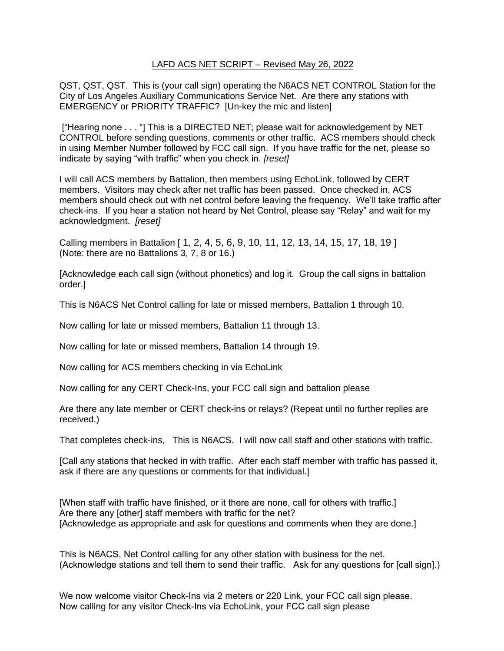## LAFD ACS NET SCRIPT – Revised May 26, 2022

QST, QST, QST. This is (your call sign) operating the N6ACS NET CONTROL Station for the City of Los Angeles Auxiliary Communications Service Net. Are there any stations with EMERGENCY or PRIORITY TRAFFIC? [Un-key the mic and listen]

["Hearing none . . . "] This is a DIRECTED NET; please wait for acknowledgement by NET CONTROL before sending questions, comments or other traffic. ACS members should check in using Member Number followed by FCC call sign. If you have traffic for the net, please so indicate by saying "with traffic" when you check in. *[reset]*

I will call ACS members by Battalion, then members using EchoLink, followed by CERT members. Visitors may check after net traffic has been passed. Once checked in, ACS members should check out with net control before leaving the frequency. We'll take traffic after check-ins. If you hear a station not heard by Net Control, please say "Relay" and wait for my acknowledgment. *[reset]*

Calling members in Battalion [ 1, 2, 4, 5, 6, 9, 10, 11, 12, 13, 14, 15, 17, 18, 19 ] (Note: there are no Battalions 3, 7, 8 or 16.)

[Acknowledge each call sign (without phonetics) and log it. Group the call signs in battalion order.]

This is N6ACS Net Control calling for late or missed members, Battalion 1 through 10.

Now calling for late or missed members, Battalion 11 through 13.

Now calling for late or missed members, Battalion 14 through 19.

Now calling for ACS members checking in via EchoLink

Now calling for any CERT Check-Ins, your FCC call sign and battalion please

Are there any late member or CERT check-ins or relays? (Repeat until no further replies are received.)

That completes check-ins, This is N6ACS. I will now call staff and other stations with traffic.

[Call any stations that hecked in with traffic. After each staff member with traffic has passed it, ask if there are any questions or comments for that individual.]

[When staff with traffic have finished, or it there are none, call for others with traffic.] Are there any [other] staff members with traffic for the net? [Acknowledge as appropriate and ask for questions and comments when they are done.]

This is N6ACS, Net Control calling for any other station with business for the net. (Acknowledge stations and tell them to send their traffic. Ask for any questions for [call sign].)

We now welcome visitor Check-Ins via 2 meters or 220 Link, your FCC call sign please. Now calling for any visitor Check-Ins via EchoLink, your FCC call sign please